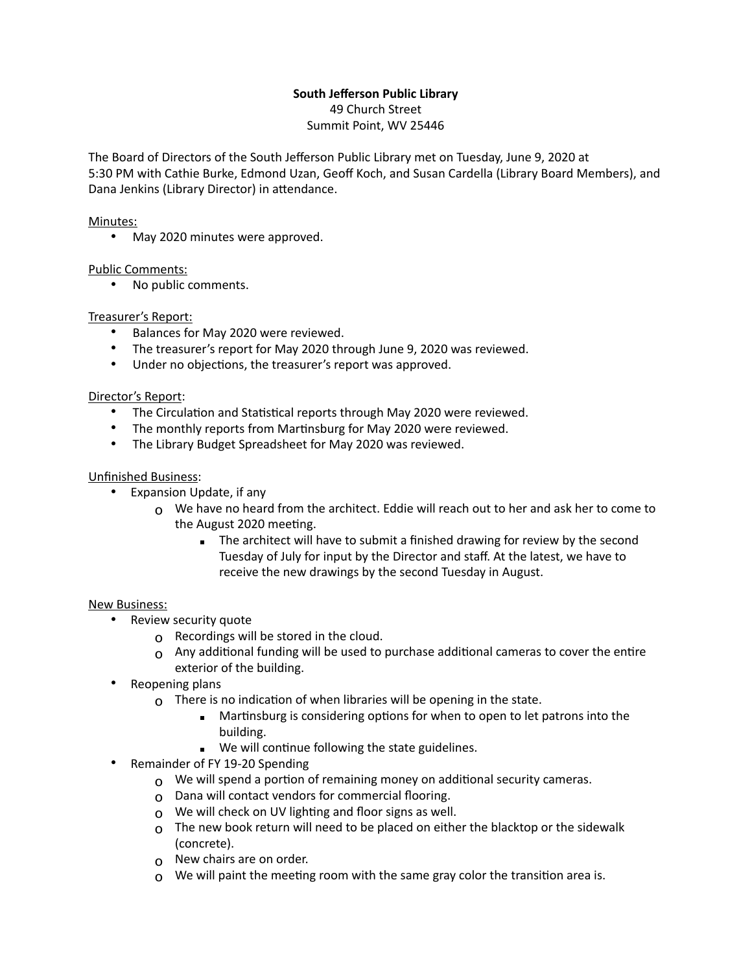# **South Jefferson Public Library**

49 Church Street Summit Point, WV 25446

The Board of Directors of the South Jefferson Public Library met on Tuesday, June 9, 2020 at 5:30 PM with Cathie Burke, Edmond Uzan, Geoff Koch, and Susan Cardella (Library Board Members), and Dana Jenkins (Library Director) in attendance.

## Minutes:

• May 2020 minutes were approved.

## Public Comments:

• No public comments.

## Treasurer's Report:

- Balances for May 2020 were reviewed.
- The treasurer's report for May 2020 through June 9, 2020 was reviewed.
- Under no objections, the treasurer's report was approved.

## Director's Report:

- The Circulation and Statistical reports through May 2020 were reviewed.
- The monthly reports from Martinsburg for May 2020 were reviewed.
- The Library Budget Spreadsheet for May 2020 was reviewed.

## Unfinished Business:

- Expansion Update, if any
	- $\Omega$  We have no heard from the architect. Eddie will reach out to her and ask her to come to the August 2020 meeting.
		- **EXECT** The architect will have to submit a finished drawing for review by the second Tuesday of July for input by the Director and staff. At the latest, we have to receive the new drawings by the second Tuesday in August.

## New Business:

- Review security quote
	- o Recordings will be stored in the cloud.
	- $o$  Any additional funding will be used to purchase additional cameras to cover the entire exterior of the building.
- Reopening plans
	- $\Omega$  There is no indication of when libraries will be opening in the state.
		- Martinsburg is considering options for when to open to let patrons into the building.
		- We will continue following the state guidelines.
- Remainder of FY 19-20 Spending
	- $\Omega$  We will spend a portion of remaining money on additional security cameras.
	- o Dana will contact vendors for commercial flooring.
	- o We will check on UV lighting and floor signs as well.
	- $\Omega$  The new book return will need to be placed on either the blacktop or the sidewalk (concrete).
	- o New chairs are on order.
	- $\Omega$  We will paint the meeting room with the same gray color the transition area is.